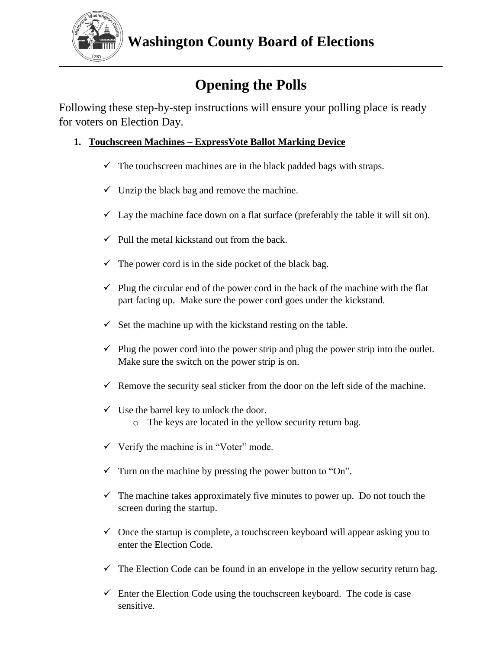

# **Opening the Polls**

Following these step-by-step instructions will ensure your polling place is ready for voters on Election Day.

## **1. Touchscreen Machines – ExpressVote Ballot Marking Device**

- $\checkmark$  The touchscreen machines are in the black padded bags with straps.
- $\checkmark$  Unzip the black bag and remove the machine.
- $\checkmark$  Lay the machine face down on a flat surface (preferably the table it will sit on).
- $\checkmark$  Pull the metal kickstand out from the back.
- $\checkmark$  The power cord is in the side pocket of the black bag.
- $\checkmark$  Plug the circular end of the power cord in the back of the machine with the flat part facing up. Make sure the power cord goes under the kickstand.
- $\checkmark$  Set the machine up with the kickstand resting on the table.
- $\checkmark$  Plug the power cord into the power strip and plug the power strip into the outlet. Make sure the switch on the power strip is on.
- Remove the security seal sticker from the door on the left side of the machine.
- $\checkmark$  Use the barrel key to unlock the door.
	- o The keys are located in the yellow security return bag.
- $\checkmark$  Verify the machine is in "Voter" mode.
- $\checkmark$  Turn on the machine by pressing the power button to "On".
- $\checkmark$  The machine takes approximately five minutes to power up. Do not touch the screen during the startup.
- $\checkmark$  Once the startup is complete, a touchscreen keyboard will appear asking you to enter the Election Code.
- $\checkmark$  The Election Code can be found in an envelope in the yellow security return bag.
- $\checkmark$  Enter the Election Code using the touchscreen keyboard. The code is case sensitive.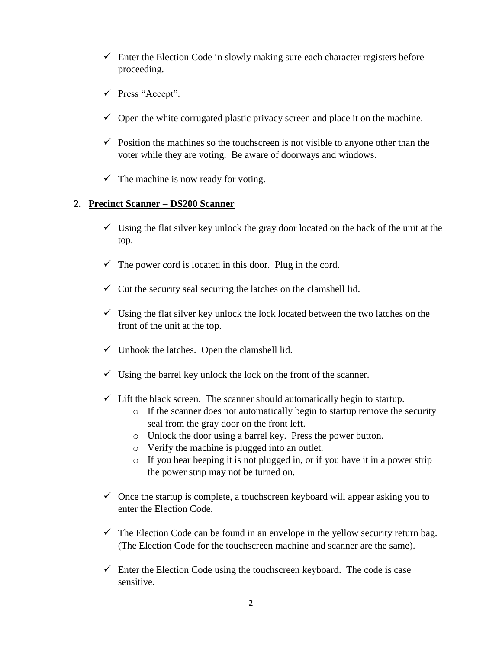- $\checkmark$  Enter the Election Code in slowly making sure each character registers before proceeding.
- $\checkmark$  Press "Accept".
- $\checkmark$  Open the white corrugated plastic privacy screen and place it on the machine.
- $\checkmark$  Position the machines so the touchscreen is not visible to anyone other than the voter while they are voting. Be aware of doorways and windows.
- $\checkmark$  The machine is now ready for voting.

#### **2. Precinct Scanner – DS200 Scanner**

- $\checkmark$  Using the flat silver key unlock the gray door located on the back of the unit at the top.
- $\checkmark$  The power cord is located in this door. Plug in the cord.
- $\checkmark$  Cut the security seal securing the latches on the clamshell lid.
- $\checkmark$  Using the flat silver key unlock the lock located between the two latches on the front of the unit at the top.
- $\checkmark$  Unhook the latches. Open the clamshell lid.
- $\checkmark$  Using the barrel key unlock the lock on the front of the scanner.
- $\checkmark$  Lift the black screen. The scanner should automatically begin to startup.
	- o If the scanner does not automatically begin to startup remove the security seal from the gray door on the front left.
	- o Unlock the door using a barrel key. Press the power button.
	- o Verify the machine is plugged into an outlet.
	- o If you hear beeping it is not plugged in, or if you have it in a power strip the power strip may not be turned on.
- $\checkmark$  Once the startup is complete, a touchscreen keyboard will appear asking you to enter the Election Code.
- $\checkmark$  The Election Code can be found in an envelope in the yellow security return bag. (The Election Code for the touchscreen machine and scanner are the same).
- $\checkmark$  Enter the Election Code using the touchscreen keyboard. The code is case sensitive.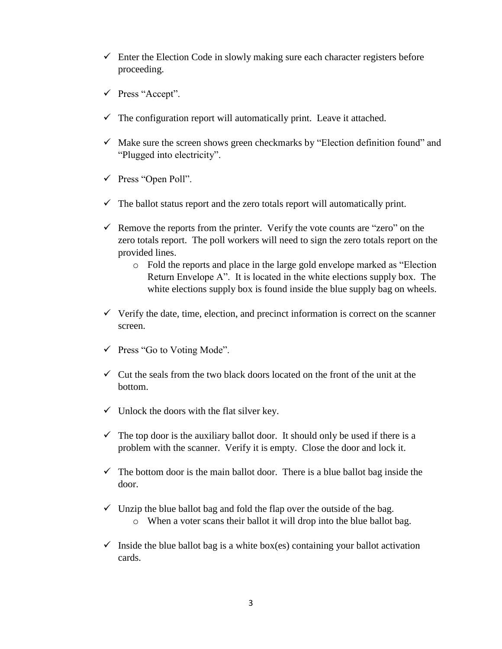- $\checkmark$  Enter the Election Code in slowly making sure each character registers before proceeding.
- Press "Accept".
- $\checkmark$  The configuration report will automatically print. Leave it attached.
- $\checkmark$  Make sure the screen shows green checkmarks by "Election definition found" and "Plugged into electricity".
- $\checkmark$  Press "Open Poll".
- $\checkmark$  The ballot status report and the zero totals report will automatically print.
- $\checkmark$  Remove the reports from the printer. Verify the vote counts are "zero" on the zero totals report. The poll workers will need to sign the zero totals report on the provided lines.
	- o Fold the reports and place in the large gold envelope marked as "Election Return Envelope A". It is located in the white elections supply box. The white elections supply box is found inside the blue supply bag on wheels.
- $\checkmark$  Verify the date, time, election, and precinct information is correct on the scanner screen.
- $\checkmark$  Press "Go to Voting Mode".
- $\checkmark$  Cut the seals from the two black doors located on the front of the unit at the bottom.
- $\checkmark$  Unlock the doors with the flat silver key.
- $\checkmark$  The top door is the auxiliary ballot door. It should only be used if there is a problem with the scanner. Verify it is empty. Close the door and lock it.
- $\checkmark$  The bottom door is the main ballot door. There is a blue ballot bag inside the door.
- $\checkmark$  Unzip the blue ballot bag and fold the flap over the outside of the bag.
	- o When a voter scans their ballot it will drop into the blue ballot bag.
- $\checkmark$  Inside the blue ballot bag is a white box(es) containing your ballot activation cards.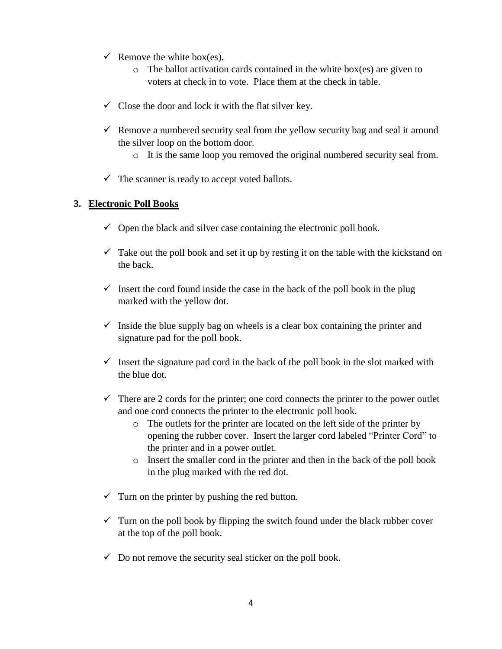- $\checkmark$  Remove the white box(es).
	- $\circ$  The ballot activation cards contained in the white box(es) are given to voters at check in to vote. Place them at the check in table.
- $\checkmark$  Close the door and lock it with the flat silver key.
- $\checkmark$  Remove a numbered security seal from the yellow security bag and seal it around the silver loop on the bottom door.
	- o It is the same loop you removed the original numbered security seal from.
- $\checkmark$  The scanner is ready to accept voted ballots.

#### **3. Electronic Poll Books**

- $\checkmark$  Open the black and silver case containing the electronic poll book.
- $\checkmark$  Take out the poll book and set it up by resting it on the table with the kickstand on the back.
- $\checkmark$  Insert the cord found inside the case in the back of the poll book in the plug marked with the yellow dot.
- $\checkmark$  Inside the blue supply bag on wheels is a clear box containing the printer and signature pad for the poll book.
- $\checkmark$  Insert the signature pad cord in the back of the poll book in the slot marked with the blue dot.
- $\checkmark$  There are 2 cords for the printer; one cord connects the printer to the power outlet and one cord connects the printer to the electronic poll book.
	- o The outlets for the printer are located on the left side of the printer by opening the rubber cover. Insert the larger cord labeled "Printer Cord" to the printer and in a power outlet.
	- o Insert the smaller cord in the printer and then in the back of the poll book in the plug marked with the red dot.
- $\checkmark$  Turn on the printer by pushing the red button.
- $\checkmark$  Turn on the poll book by flipping the switch found under the black rubber cover at the top of the poll book.
- $\checkmark$  Do not remove the security seal sticker on the poll book.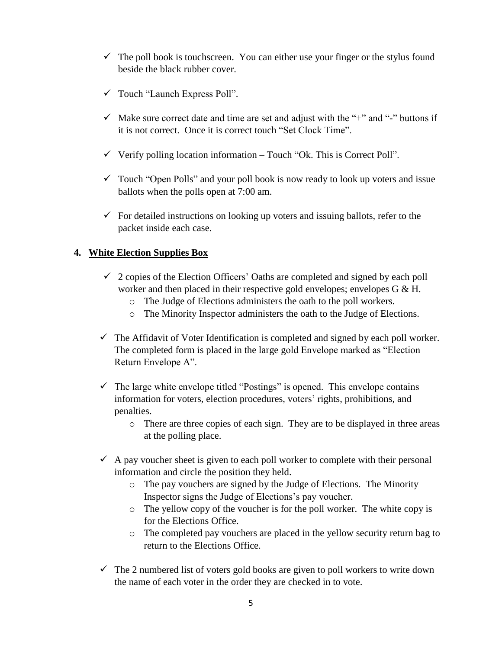- $\checkmark$  The poll book is touchscreen. You can either use your finger or the stylus found beside the black rubber cover.
- $\checkmark$  Touch "Launch Express Poll".
- $\checkmark$  Make sure correct date and time are set and adjust with the "+" and "-" buttons if it is not correct. Once it is correct touch "Set Clock Time".
- $\checkmark$  Verify polling location information Touch "Ok. This is Correct Poll".
- $\checkmark$  Touch "Open Polls" and your poll book is now ready to look up voters and issue ballots when the polls open at 7:00 am.
- $\checkmark$  For detailed instructions on looking up voters and issuing ballots, refer to the packet inside each case.

#### **4. White Election Supplies Box**

- $\checkmark$  2 copies of the Election Officers' Oaths are completed and signed by each poll worker and then placed in their respective gold envelopes; envelopes G & H.
	- o The Judge of Elections administers the oath to the poll workers.
	- o The Minority Inspector administers the oath to the Judge of Elections.
- $\checkmark$  The Affidavit of Voter Identification is completed and signed by each poll worker. The completed form is placed in the large gold Envelope marked as "Election Return Envelope A".
- $\checkmark$  The large white envelope titled "Postings" is opened. This envelope contains information for voters, election procedures, voters' rights, prohibitions, and penalties.
	- o There are three copies of each sign. They are to be displayed in three areas at the polling place.
- $\checkmark$  A pay voucher sheet is given to each poll worker to complete with their personal information and circle the position they held.
	- o The pay vouchers are signed by the Judge of Elections. The Minority Inspector signs the Judge of Elections's pay voucher.
	- o The yellow copy of the voucher is for the poll worker. The white copy is for the Elections Office.
	- o The completed pay vouchers are placed in the yellow security return bag to return to the Elections Office.
- $\checkmark$  The 2 numbered list of voters gold books are given to poll workers to write down the name of each voter in the order they are checked in to vote.